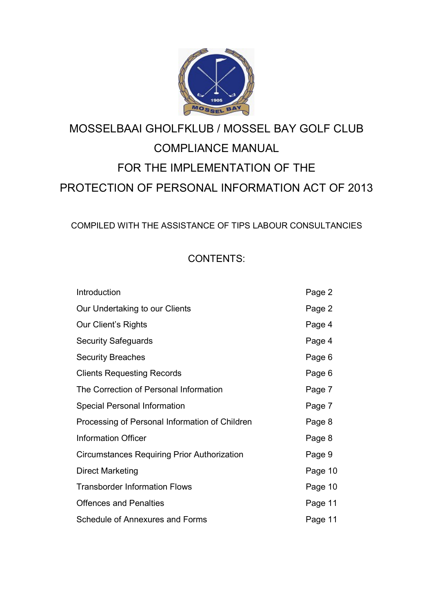

# MOSSELBAAI GHOLFKLUB / MOSSEL BAY GOLF CLUB COMPLIANCE MANUAL FOR THE IMPLEMENTATION OF THE PROTECTION OF PERSONAL INFORMATION ACT OF 2013

COMPILED WITH THE ASSISTANCE OF TIPS LABOUR CONSULTANCIES

# CONTENTS:

| Page 2  |
|---------|
| Page 2  |
| Page 4  |
| Page 4  |
| Page 6  |
| Page 6  |
| Page 7  |
| Page 7  |
| Page 8  |
| Page 8  |
| Page 9  |
| Page 10 |
| Page 10 |
| Page 11 |
| Page 11 |
|         |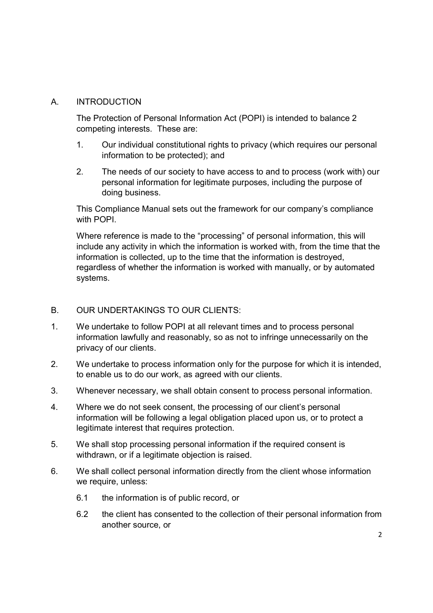### A. INTRODUCTION

The Protection of Personal Information Act (POPI) is intended to balance 2 competing interests. These are:

- 1. Our individual constitutional rights to privacy (which requires our personal information to be protected); and
- 2. The needs of our society to have access to and to process (work with) our personal information for legitimate purposes, including the purpose of doing business.

This Compliance Manual sets out the framework for our company's compliance with POPI.

Where reference is made to the "processing" of personal information, this will include any activity in which the information is worked with, from the time that the information is collected, up to the time that the information is destroyed, regardless of whether the information is worked with manually, or by automated systems.

# B. OUR UNDERTAKINGS TO OUR CLIENTS:

- 1. We undertake to follow POPI at all relevant times and to process personal information lawfully and reasonably, so as not to infringe unnecessarily on the privacy of our clients.
- 2. We undertake to process information only for the purpose for which it is intended, to enable us to do our work, as agreed with our clients.
- 3. Whenever necessary, we shall obtain consent to process personal information.
- 4. Where we do not seek consent, the processing of our client's personal information will be following a legal obligation placed upon us, or to protect a legitimate interest that requires protection.
- 5. We shall stop processing personal information if the required consent is withdrawn, or if a legitimate objection is raised.
- 6. We shall collect personal information directly from the client whose information we require, unless:
	- 6.1 the information is of public record, or
	- 6.2 the client has consented to the collection of their personal information from another source, or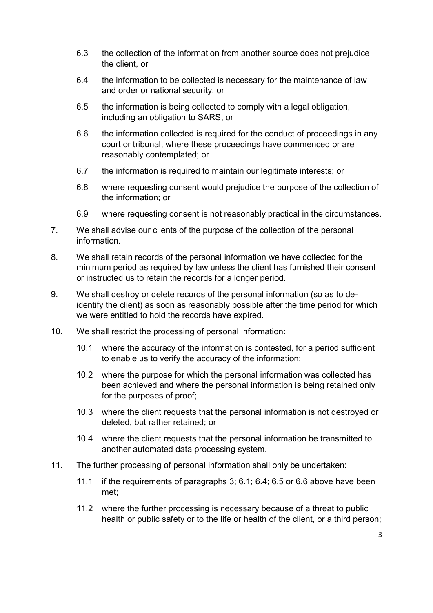- 6.3 the collection of the information from another source does not prejudice the client, or
- 6.4 the information to be collected is necessary for the maintenance of law and order or national security, or
- 6.5 the information is being collected to comply with a legal obligation, including an obligation to SARS, or
- 6.6 the information collected is required for the conduct of proceedings in any court or tribunal, where these proceedings have commenced or are reasonably contemplated; or
- 6.7 the information is required to maintain our legitimate interests; or
- 6.8 where requesting consent would prejudice the purpose of the collection of the information; or
- 6.9 where requesting consent is not reasonably practical in the circumstances.
- 7. We shall advise our clients of the purpose of the collection of the personal information.
- 8. We shall retain records of the personal information we have collected for the minimum period as required by law unless the client has furnished their consent or instructed us to retain the records for a longer period.
- 9. We shall destroy or delete records of the personal information (so as to deidentify the client) as soon as reasonably possible after the time period for which we were entitled to hold the records have expired.
- 10. We shall restrict the processing of personal information:
	- 10.1 where the accuracy of the information is contested, for a period sufficient to enable us to verify the accuracy of the information;
	- 10.2 where the purpose for which the personal information was collected has been achieved and where the personal information is being retained only for the purposes of proof;
	- 10.3 where the client requests that the personal information is not destroyed or deleted, but rather retained; or
	- 10.4 where the client requests that the personal information be transmitted to another automated data processing system.
- 11. The further processing of personal information shall only be undertaken:
	- 11.1 if the requirements of paragraphs 3; 6.1; 6.4; 6.5 or 6.6 above have been met;
	- 11.2 where the further processing is necessary because of a threat to public health or public safety or to the life or health of the client, or a third person;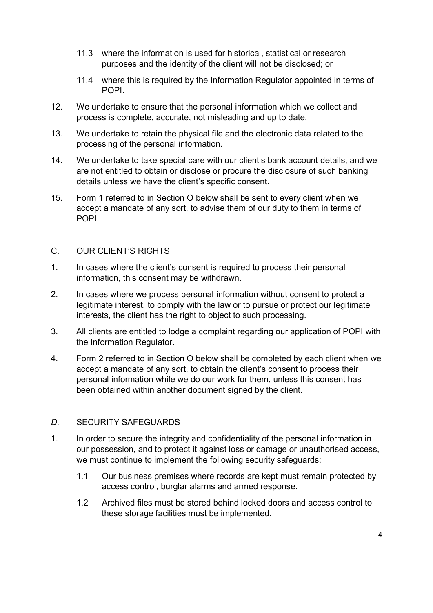- 11.3 where the information is used for historical, statistical or research purposes and the identity of the client will not be disclosed; or
- 11.4 where this is required by the Information Regulator appointed in terms of POPI.
- 12. We undertake to ensure that the personal information which we collect and process is complete, accurate, not misleading and up to date.
- 13. We undertake to retain the physical file and the electronic data related to the processing of the personal information.
- 14. We undertake to take special care with our client's bank account details, and we are not entitled to obtain or disclose or procure the disclosure of such banking details unless we have the client's specific consent.
- 15. Form 1 referred to in Section O below shall be sent to every client when we accept a mandate of any sort, to advise them of our duty to them in terms of POPI.

#### C. OUR CLIENT'S RIGHTS

- 1. In cases where the client's consent is required to process their personal information, this consent may be withdrawn.
- 2. In cases where we process personal information without consent to protect a legitimate interest, to comply with the law or to pursue or protect our legitimate interests, the client has the right to object to such processing.
- 3. All clients are entitled to lodge a complaint regarding our application of POPI with the Information Regulator.
- 4. Form 2 referred to in Section O below shall be completed by each client when we accept a mandate of any sort, to obtain the client's consent to process their personal information while we do our work for them, unless this consent has been obtained within another document signed by the client.

#### D. SECURITY SAFEGUARDS

- 1. In order to secure the integrity and confidentiality of the personal information in our possession, and to protect it against loss or damage or unauthorised access, we must continue to implement the following security safeguards:
	- 1.1 Our business premises where records are kept must remain protected by access control, burglar alarms and armed response.
	- 1.2 Archived files must be stored behind locked doors and access control to these storage facilities must be implemented.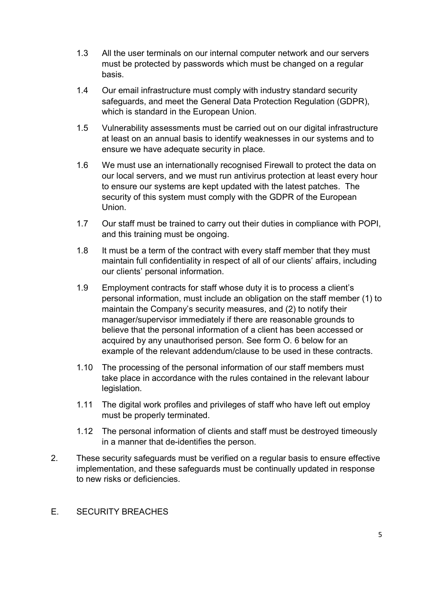- 1.3 All the user terminals on our internal computer network and our servers must be protected by passwords which must be changed on a regular basis.
- 1.4 Our email infrastructure must comply with industry standard security safeguards, and meet the General Data Protection Regulation (GDPR), which is standard in the European Union.
- 1.5 Vulnerability assessments must be carried out on our digital infrastructure at least on an annual basis to identify weaknesses in our systems and to ensure we have adequate security in place.
- 1.6 We must use an internationally recognised Firewall to protect the data on our local servers, and we must run antivirus protection at least every hour to ensure our systems are kept updated with the latest patches. The security of this system must comply with the GDPR of the European Union.
- 1.7 Our staff must be trained to carry out their duties in compliance with POPI, and this training must be ongoing.
- 1.8 It must be a term of the contract with every staff member that they must maintain full confidentiality in respect of all of our clients' affairs, including our clients' personal information.
- 1.9 Employment contracts for staff whose duty it is to process a client's personal information, must include an obligation on the staff member (1) to maintain the Company's security measures, and (2) to notify their manager/supervisor immediately if there are reasonable grounds to believe that the personal information of a client has been accessed or acquired by any unauthorised person. See form O. 6 below for an example of the relevant addendum/clause to be used in these contracts.
- 1.10 The processing of the personal information of our staff members must take place in accordance with the rules contained in the relevant labour legislation.
- 1.11 The digital work profiles and privileges of staff who have left out employ must be properly terminated.
- 1.12 The personal information of clients and staff must be destroyed timeously in a manner that de-identifies the person.
- 2. These security safeguards must be verified on a regular basis to ensure effective implementation, and these safeguards must be continually updated in response to new risks or deficiencies.

#### E. SECURITY BREACHES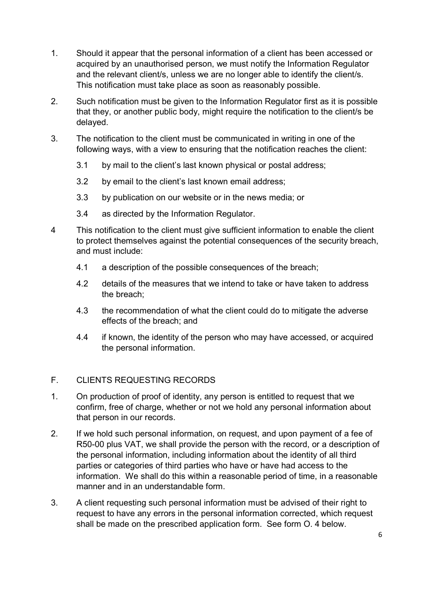- 1. Should it appear that the personal information of a client has been accessed or acquired by an unauthorised person, we must notify the Information Regulator and the relevant client/s, unless we are no longer able to identify the client/s. This notification must take place as soon as reasonably possible.
- 2. Such notification must be given to the Information Regulator first as it is possible that they, or another public body, might require the notification to the client/s be delayed.
- 3. The notification to the client must be communicated in writing in one of the following ways, with a view to ensuring that the notification reaches the client:
	- 3.1 by mail to the client's last known physical or postal address;
	- 3.2 by email to the client's last known email address;
	- 3.3 by publication on our website or in the news media; or
	- 3.4 as directed by the Information Regulator.
- 4 This notification to the client must give sufficient information to enable the client to protect themselves against the potential consequences of the security breach, and must include:
	- 4.1 a description of the possible consequences of the breach;
	- 4.2 details of the measures that we intend to take or have taken to address the breach;
	- 4.3 the recommendation of what the client could do to mitigate the adverse effects of the breach; and
	- 4.4 if known, the identity of the person who may have accessed, or acquired the personal information.

# F. CLIENTS REQUESTING RECORDS

- 1. On production of proof of identity, any person is entitled to request that we confirm, free of charge, whether or not we hold any personal information about that person in our records.
- 2. If we hold such personal information, on request, and upon payment of a fee of R50-00 plus VAT, we shall provide the person with the record, or a description of the personal information, including information about the identity of all third parties or categories of third parties who have or have had access to the information. We shall do this within a reasonable period of time, in a reasonable manner and in an understandable form.
- 3. A client requesting such personal information must be advised of their right to request to have any errors in the personal information corrected, which request shall be made on the prescribed application form. See form O. 4 below.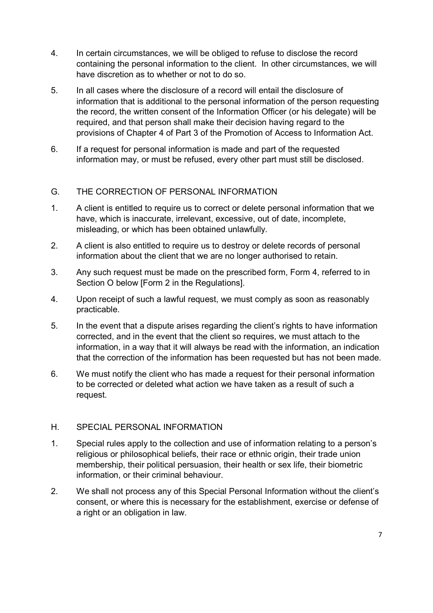- 4. In certain circumstances, we will be obliged to refuse to disclose the record containing the personal information to the client. In other circumstances, we will have discretion as to whether or not to do so.
- 5. In all cases where the disclosure of a record will entail the disclosure of information that is additional to the personal information of the person requesting the record, the written consent of the Information Officer (or his delegate) will be required, and that person shall make their decision having regard to the provisions of Chapter 4 of Part 3 of the Promotion of Access to Information Act.
- 6. If a request for personal information is made and part of the requested information may, or must be refused, every other part must still be disclosed.

# G. THE CORRECTION OF PERSONAL INFORMATION

- 1. A client is entitled to require us to correct or delete personal information that we have, which is inaccurate, irrelevant, excessive, out of date, incomplete, misleading, or which has been obtained unlawfully.
- 2. A client is also entitled to require us to destroy or delete records of personal information about the client that we are no longer authorised to retain.
- 3. Any such request must be made on the prescribed form, Form 4, referred to in Section O below [Form 2 in the Regulations].
- 4. Upon receipt of such a lawful request, we must comply as soon as reasonably practicable.
- 5. In the event that a dispute arises regarding the client's rights to have information corrected, and in the event that the client so requires, we must attach to the information, in a way that it will always be read with the information, an indication that the correction of the information has been requested but has not been made.
- 6. We must notify the client who has made a request for their personal information to be corrected or deleted what action we have taken as a result of such a request.

#### H. SPECIAL PERSONAL INFORMATION

- 1. Special rules apply to the collection and use of information relating to a person's religious or philosophical beliefs, their race or ethnic origin, their trade union membership, their political persuasion, their health or sex life, their biometric information, or their criminal behaviour.
- 2. We shall not process any of this Special Personal Information without the client's consent, or where this is necessary for the establishment, exercise or defense of a right or an obligation in law.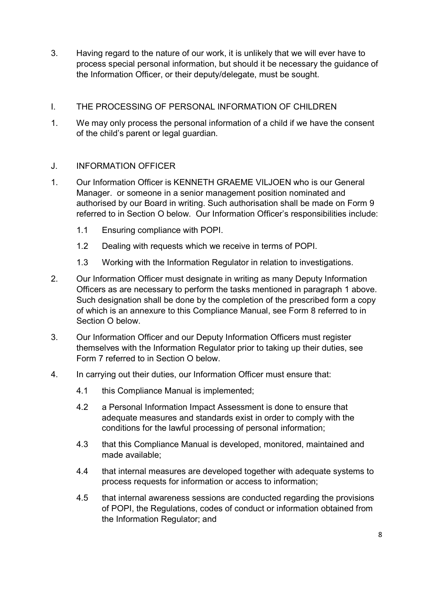- 3. Having regard to the nature of our work, it is unlikely that we will ever have to process special personal information, but should it be necessary the guidance of the Information Officer, or their deputy/delegate, must be sought.
- I. THE PROCESSING OF PERSONAL INFORMATION OF CHILDREN
- 1. We may only process the personal information of a child if we have the consent of the child's parent or legal guardian.

# J. INFORMATION OFFICER

- 1. Our Information Officer is KENNETH GRAEME VILJOEN who is our General Manager. or someone in a senior management position nominated and authorised by our Board in writing. Such authorisation shall be made on Form 9 referred to in Section O below. Our Information Officer's responsibilities include:
	- 1.1 Ensuring compliance with POPI.
	- 1.2 Dealing with requests which we receive in terms of POPI.
	- 1.3 Working with the Information Regulator in relation to investigations.
- 2. Our Information Officer must designate in writing as many Deputy Information Officers as are necessary to perform the tasks mentioned in paragraph 1 above. Such designation shall be done by the completion of the prescribed form a copy of which is an annexure to this Compliance Manual, see Form 8 referred to in Section O below.
- 3. Our Information Officer and our Deputy Information Officers must register themselves with the Information Regulator prior to taking up their duties, see Form 7 referred to in Section O below.
- 4. In carrying out their duties, our Information Officer must ensure that:
	- 4.1 this Compliance Manual is implemented;
	- 4.2 a Personal Information Impact Assessment is done to ensure that adequate measures and standards exist in order to comply with the conditions for the lawful processing of personal information;
	- 4.3 that this Compliance Manual is developed, monitored, maintained and made available;
	- 4.4 that internal measures are developed together with adequate systems to process requests for information or access to information;
	- 4.5 that internal awareness sessions are conducted regarding the provisions of POPI, the Regulations, codes of conduct or information obtained from the Information Regulator; and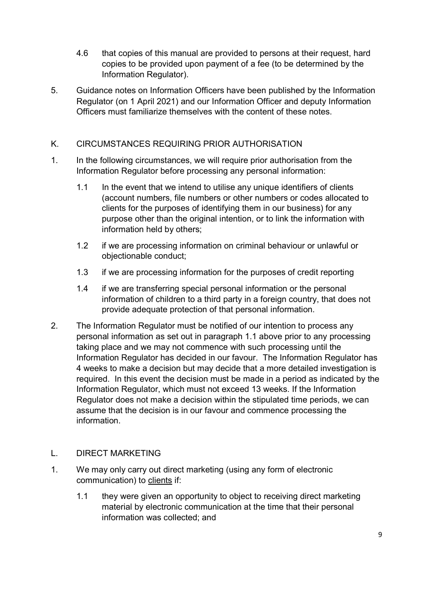- 4.6 that copies of this manual are provided to persons at their request, hard copies to be provided upon payment of a fee (to be determined by the Information Regulator).
- 5. Guidance notes on Information Officers have been published by the Information Regulator (on 1 April 2021) and our Information Officer and deputy Information Officers must familiarize themselves with the content of these notes.

# K. CIRCUMSTANCES REQUIRING PRIOR AUTHORISATION

- 1. In the following circumstances, we will require prior authorisation from the Information Regulator before processing any personal information:
	- 1.1 In the event that we intend to utilise any unique identifiers of clients (account numbers, file numbers or other numbers or codes allocated to clients for the purposes of identifying them in our business) for any purpose other than the original intention, or to link the information with information held by others;
	- 1.2 if we are processing information on criminal behaviour or unlawful or objectionable conduct;
	- 1.3 if we are processing information for the purposes of credit reporting
	- 1.4 if we are transferring special personal information or the personal information of children to a third party in a foreign country, that does not provide adequate protection of that personal information.
- 2. The Information Regulator must be notified of our intention to process any personal information as set out in paragraph 1.1 above prior to any processing taking place and we may not commence with such processing until the Information Regulator has decided in our favour. The Information Regulator has 4 weeks to make a decision but may decide that a more detailed investigation is required. In this event the decision must be made in a period as indicated by the Information Regulator, which must not exceed 13 weeks. If the Information Regulator does not make a decision within the stipulated time periods, we can assume that the decision is in our favour and commence processing the information.

#### L. DIRECT MARKETING

- 1. We may only carry out direct marketing (using any form of electronic communication) to clients if:
	- 1.1 they were given an opportunity to object to receiving direct marketing material by electronic communication at the time that their personal information was collected; and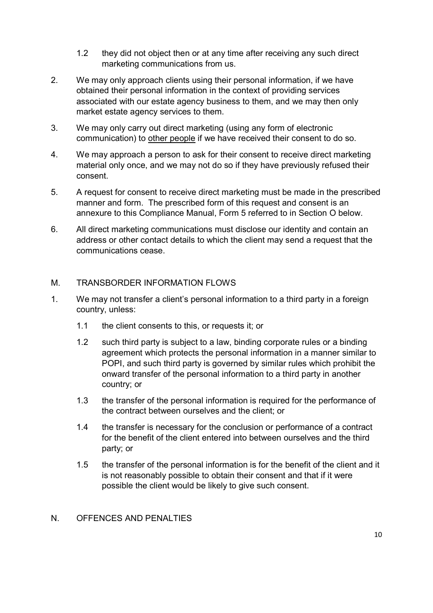- 1.2 they did not object then or at any time after receiving any such direct marketing communications from us.
- 2. We may only approach clients using their personal information, if we have obtained their personal information in the context of providing services associated with our estate agency business to them, and we may then only market estate agency services to them.
- 3. We may only carry out direct marketing (using any form of electronic communication) to other people if we have received their consent to do so.
- 4. We may approach a person to ask for their consent to receive direct marketing material only once, and we may not do so if they have previously refused their consent.
- 5. A request for consent to receive direct marketing must be made in the prescribed manner and form. The prescribed form of this request and consent is an annexure to this Compliance Manual, Form 5 referred to in Section O below.
- 6. All direct marketing communications must disclose our identity and contain an address or other contact details to which the client may send a request that the communications cease.

#### M. TRANSBORDER INFORMATION FLOWS

- 1. We may not transfer a client's personal information to a third party in a foreign country, unless:
	- 1.1 the client consents to this, or requests it; or
	- 1.2 such third party is subject to a law, binding corporate rules or a binding agreement which protects the personal information in a manner similar to POPI, and such third party is governed by similar rules which prohibit the onward transfer of the personal information to a third party in another country; or
	- 1.3 the transfer of the personal information is required for the performance of the contract between ourselves and the client; or
	- 1.4 the transfer is necessary for the conclusion or performance of a contract for the benefit of the client entered into between ourselves and the third party; or
	- 1.5 the transfer of the personal information is for the benefit of the client and it is not reasonably possible to obtain their consent and that if it were possible the client would be likely to give such consent.

#### N. OFFENCES AND PENALTIES